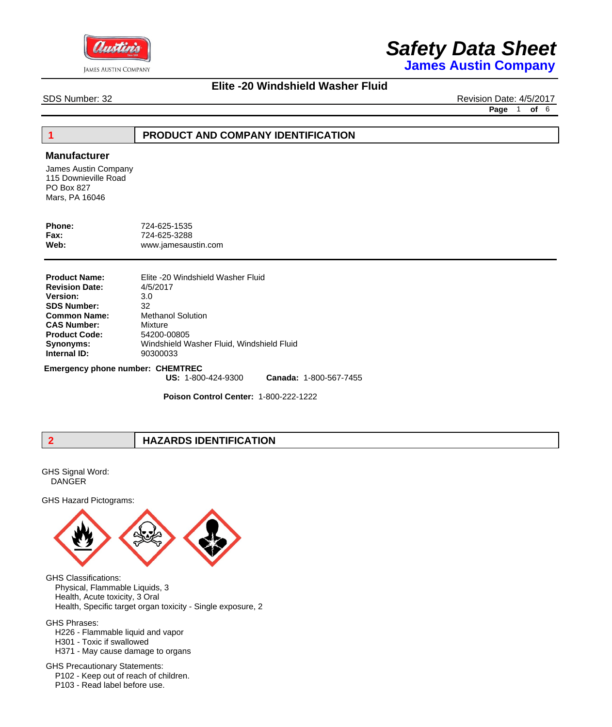

**James Austin Company**

#### **Elite -20 Windshield Washer Fluid**

SDS Number: 32 Revision Date: 4/5/2017

**Page** 1 **of** 6

#### **1 PRODUCT AND COMPANY IDENTIFICATION**

#### **Manufacturer**

James Austin Company 115 Downieville Road PO Box 827 Mars, PA 16046

| Phone:      | 724-625-1535        |
|-------------|---------------------|
| <b>Fax:</b> | 724-625-3288        |
| Web:        | www.jamesaustin.com |

| Elite -20 Windshield Washer Fluid<br>4/5/2017 |
|-----------------------------------------------|
| 3.0                                           |
| 32                                            |
| <b>Methanol Solution</b>                      |
| Mixture                                       |
| 54200-00805                                   |
| Windshield Washer Fluid, Windshield Fluid     |
| 90300033                                      |
|                                               |

**Emergency phone number: CHEMTREC**

**US:** 1-800-424-9300 **Canada:** 1-800-567-7455

**Poison Control Center:** 1-800-222-1222

### **2 HAZARDS IDENTIFICATION**

GHS Signal Word: DANGER

GHS Hazard Pictograms:



GHS Classifications: Physical, Flammable Liquids, 3 Health, Acute toxicity, 3 Oral Health, Specific target organ toxicity - Single exposure, 2

GHS Phrases:

- H226 Flammable liquid and vapor
- H301 Toxic if swallowed

 H371 - May cause damage to organs

GHS Precautionary Statements: P102 - Keep out of reach of children. P103 - Read label before use.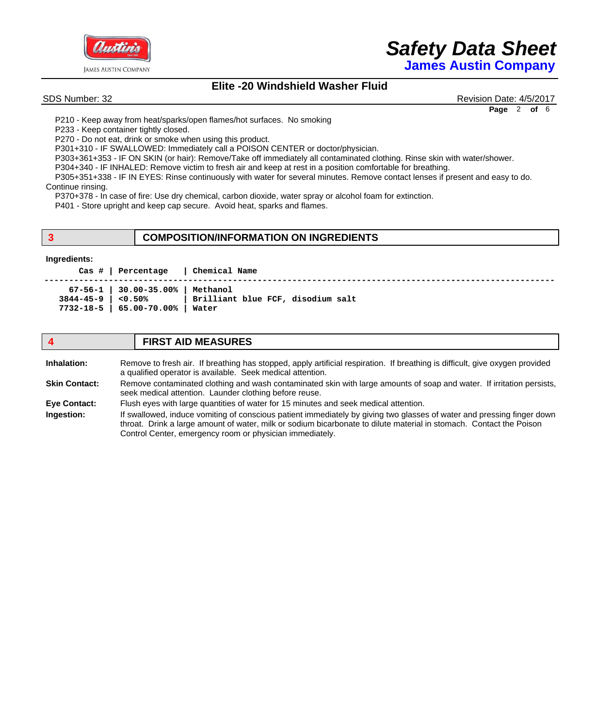

## *Safety Data Sheet* **James Austin Company**

### **Elite -20 Windshield Washer Fluid**

SDS Number: 32 Revision Date: 4/5/2017 **Page** 2 **of** 6

 P210 - Keep away from heat/sparks/open flames/hot surfaces. No smoking

 P233 - Keep container tightly closed.

 P270 - Do not eat, drink or smoke when using this product.

 P301+310 - IF SWALLOWED: Immediately call a POISON CENTER or doctor/physician.

 P303+361+353 - IF ON SKIN (or hair): Remove/Take off immediately all contaminated clothing. Rinse skin with water/shower.

 P304+340 - IF INHALED: Remove victim to fresh air and keep at rest in a position comfortable for breathing.

 P305+351+338 - IF IN EYES: Rinse continuously with water for several minutes. Remove contact lenses if present and easy to do.

Continue rinsing.

 P370+378 - In case of fire: Use dry chemical, carbon dioxide, water spray or alcohol foam for extinction.

 P401 - Store upright and keep cap secure. Avoid heat, sparks and flames.

#### **3 COMPOSITION/INFORMATION ON INGREDIENTS**

#### **Ingredients:**

 **Cas # | Percentage | Chemical Name** 

|                    | $67-56-1$   30.00-35.00%   Methanol |                                   |
|--------------------|-------------------------------------|-----------------------------------|
| 3844-45-9   <0.50% |                                     | Brilliant blue FCF, disodium salt |
|                    | 7732-18-5   65.00-70.00%   Water    |                                   |

#### **4 FIRST AID MEASURES** Remove to fresh air. If breathing has stopped, apply artificial respiration. If breathing is difficult, give oxygen provided a qualified operator is available. Seek medical attention. Remove contaminated clothing and wash contaminated skin with large amounts of soap and water. If irritation persists, seek medical attention. Launder clothing before reuse. Flush eyes with large quantities of water for 15 minutes and seek medical attention. If swallowed, induce vomiting of conscious patient immediately by giving two glasses of water and pressing finger down throat. Drink a large amount of water, milk or sodium bicarbonate to dilute material in stomach. Contact the Poison Control Center, emergency room or physician immediately. **Inhalation: Skin Contact: Eye Contact: Ingestion:**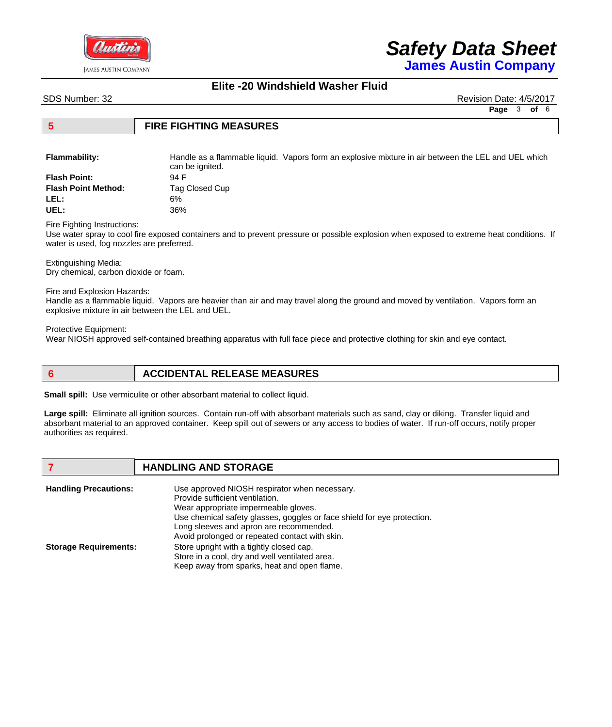

**James Austin Company**

#### **Elite -20 Windshield Washer Fluid**

SDS Number: 32 Revision Date: 4/5/2017

**Page** 3 **of** 6

#### **5 FIRE FIGHTING MEASURES**

**Flammability:** Handle as a flammable liquid. Vapors form an explosive mixture in air between the LEL and UEL which can be ignited. **Flash Point:** 94 F

| riash Politt.       | .94 F          |
|---------------------|----------------|
| Flash Point Method: | Tag Closed Cup |
| LEL:                | 6%             |
| UEL:                | 36%            |
|                     |                |

Fire Fighting Instructions:

Use water spray to cool fire exposed containers and to prevent pressure or possible explosion when exposed to extreme heat conditions. If water is used, fog nozzles are preferred.

Extinguishing Media: Dry chemical, carbon dioxide or foam.

Fire and Explosion Hazards:

Handle as a flammable liquid. Vapors are heavier than air and may travel along the ground and moved by ventilation. Vapors form an explosive mixture in air between the LEL and UEL.

Protective Equipment:

Wear NIOSH approved self-contained breathing apparatus with full face piece and protective clothing for skin and eye contact.

#### **6 ACCIDENTAL RELEASE MEASURES**

**Small spill:** Use vermiculite or other absorbant material to collect liquid.

**Large spill:** *Eliminate all ignition sources*. Contain run-off with absorbant materials such as sand, clay or diking. Transfer liquid and absorbant material to an approved container. Keep spill out of sewers or any access to bodies of water. If run-off occurs, notify proper authorities as required.

#### **7 HANDLING AND STORAGE**

| <b>Handling Precautions:</b> | Use approved NIOSH respirator when necessary.                           |
|------------------------------|-------------------------------------------------------------------------|
|                              | Provide sufficient ventilation.                                         |
|                              | Wear appropriate impermeable gloves.                                    |
|                              | Use chemical safety glasses, goggles or face shield for eye protection. |
|                              | Long sleeves and apron are recommended.                                 |
|                              | Avoid prolonged or repeated contact with skin.                          |
| <b>Storage Requirements:</b> | Store upright with a tightly closed cap.                                |
|                              | Store in a cool, dry and well ventilated area.                          |
|                              | Keep away from sparks, heat and open flame.                             |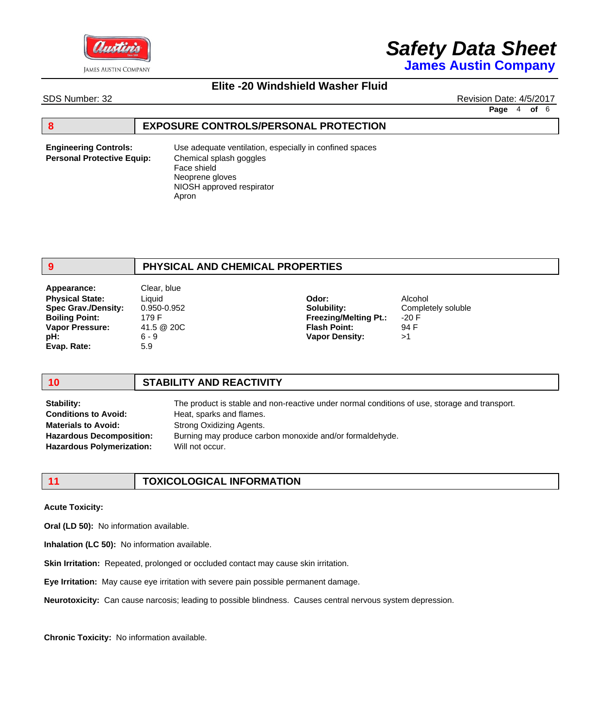

**James Austin Company**

#### **Elite -20 Windshield Washer Fluid**

SDS Number: 32 Revision Date: 4/5/2017

**Page** 4 **of** 6

#### **8 EXPOSURE CONTROLS/PERSONAL PROTECTION**

**Engineering Controls: Personal Protective Equip:** Use adequate ventilation, especially in confined spaces Chemical splash goggles Face shield Neoprene gloves NIOSH approved respirator Apron

#### **9 PHYSICAL AND CHEMICAL PROPERTIES**

Liquid 0.950-0.952 179 F 41.5 @ 20C 6 - 9 5.9 **Physical State: Spec Grav./Density: Boiling Point: Vapor Pressure: pH: Evap. Rate: Odor: Solubility: Freezing/Melting Pt.: Flash Point: Vapor Density:** Alcohol Completely soluble -20 F 94 F >1 **Appearance:** Clear, blue

**Stability:**

#### **10 STABILITY AND REACTIVITY**

The product is stable and non-reactive under normal conditions of use, storage and transport. Heat, sparks and flames. Strong Oxidizing Agents. Burning may produce carbon monoxide and/or formaldehyde. Will not occur. **Conditions to Avoid: Materials to Avoid: Hazardous Decomposition: Hazardous Polymerization:**

### **11 TOXICOLOGICAL INFORMATION**

**Acute Toxicity:** 

**Oral (LD 50):** No information available.

**Inhalation (LC 50):** No information available.

**Skin Irritation:** Repeated, prolonged or occluded contact may cause skin irritation.

**Eye Irritation:** May cause eye irritation with severe pain possible permanent damage.

**Neurotoxicity:** Can cause narcosis; leading to possible blindness. Causes central nervous system depression.

**Chronic Toxicity:** No information available.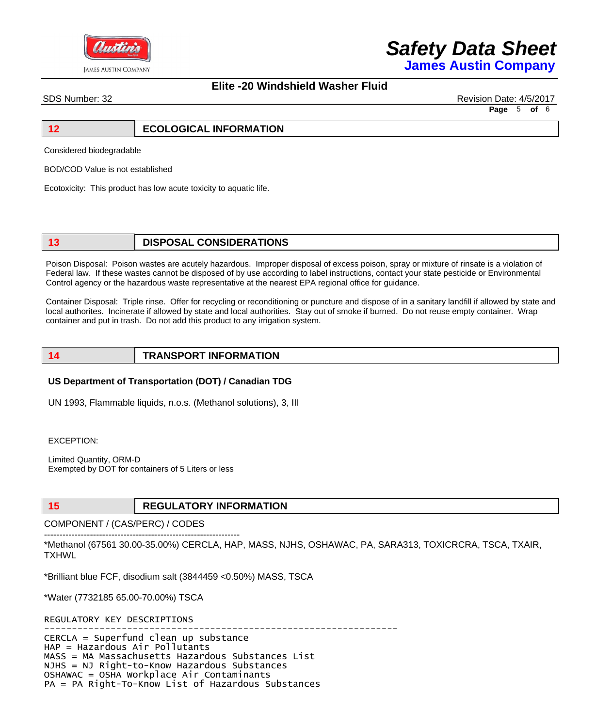

**James Austin Company**

#### **Elite -20 Windshield Washer Fluid**

SDS Number: 32 Revision Date: 4/5/2017 **Page** 5 **of** 6

#### **12 ECOLOGICAL INFORMATION**

Considered biodegradable

BOD/COD Value is not established

Ecotoxicity: This product has low acute toxicity to aquatic life.

#### **13 DISPOSAL CONSIDERATIONS**

Poison Disposal: Poison wastes are acutely hazardous. Improper disposal of excess poison, spray or mixture of rinsate is a violation of Federal law. If these wastes cannot be disposed of by use according to label instructions, contact your state pesticide or Environmental Control agency or the hazardous waste representative at the nearest EPA regional office for guidance.

Container Disposal: Triple rinse. Offer for recycling or reconditioning or puncture and dispose of in a sanitary landfill if allowed by state and local authorites. Incinerate if allowed by state and local authorities. Stay out of smoke if burned. Do not reuse empty container. Wrap container and put in trash. Do not add this product to any irrigation system.

#### **14 TRANSPORT INFORMATION**

#### **US Department of Transportation (DOT) / Canadian TDG**

UN 1993, Flammable liquids, n.o.s. (Methanol solutions), 3, III

EXCEPTION:

Limited Quantity, ORM-D Exempted by DOT for containers of 5 Liters or less

#### **15 REGULATORY INFORMATION**

COMPONENT / (CAS/PERC) / CODES

---------------------------------------------------------------- \*Methanol (67561 30.00-35.00%) CERCLA, HAP, MASS, NJHS, OSHAWAC, PA, SARA313, TOXICRCRA, TSCA, TXAIR, **TXHWL** 

\*Brilliant blue FCF, disodium salt (3844459 <0.50%) MASS, TSCA

\*Water (7732185 65.00-70.00%) TSCA

REGULATORY KEY DESCRIPTIONS

---------------------------------------------------------------- CERCLA = Superfund clean up substance HAP = Hazardous Air Pollutants MASS = MA Massachusetts Hazardous Substances List NJHS = NJ Right-to-Know Hazardous Substances OSHAWAC = OSHA Workplace Air Contaminants PA = PA Right-To-Know List of Hazardous Substances